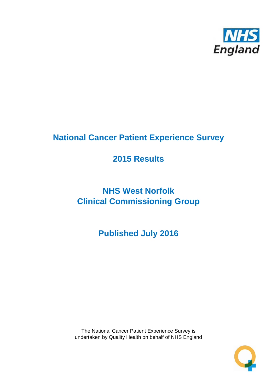

# **National Cancer Patient Experience Survey**

# **2015 Results**

# **NHS West Norfolk Clinical Commissioning Group**

**Published July 2016**

The National Cancer Patient Experience Survey is undertaken by Quality Health on behalf of NHS England

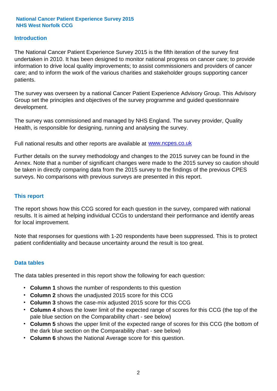#### **Introduction**

The National Cancer Patient Experience Survey 2015 is the fifth iteration of the survey first undertaken in 2010. It has been designed to monitor national progress on cancer care; to provide information to drive local quality improvements; to assist commissioners and providers of cancer care; and to inform the work of the various charities and stakeholder groups supporting cancer patients.

The survey was overseen by a national Cancer Patient Experience Advisory Group. This Advisory Group set the principles and objectives of the survey programme and guided questionnaire development.

The survey was commissioned and managed by NHS England. The survey provider, Quality Health, is responsible for designing, running and analysing the survey.

Full national results and other reports are available at www.ncpes.co.uk

Further details on the survey methodology and changes to the 2015 survey can be found in the Annex. Note that a number of significant changes were made to the 2015 survey so caution should be taken in directly comparing data from the 2015 survey to the findings of the previous CPES surveys. No comparisons with previous surveys are presented in this report.

#### **This report**

The report shows how this CCG scored for each question in the survey, compared with national results. It is aimed at helping individual CCGs to understand their performance and identify areas for local improvement.

Note that responses for questions with 1-20 respondents have been suppressed. This is to protect patient confidentiality and because uncertainty around the result is too great.

#### **Data tables**

The data tables presented in this report show the following for each question:

- **Column 1** shows the number of respondents to this question
- **Column 2** shows the unadjusted 2015 score for this CCG
- **Column 3** shows the case-mix adjusted 2015 score for this CCG
- **Column 4** shows the lower limit of the expected range of scores for this CCG (the top of the pale blue section on the Comparability chart - see below)
- **Column 5** shows the upper limit of the expected range of scores for this CCG (the bottom of the dark blue section on the Comparability chart - see below)
- **Column 6** shows the National Average score for this question.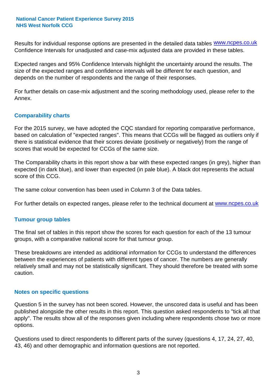Results for individual response options are presented in the detailed data tables **WWW.ncpes.co.uk** Confidence Intervals for unadjusted and case-mix adjusted data are provided in these tables.

Expected ranges and 95% Confidence Intervals highlight the uncertainty around the results. The size of the expected ranges and confidence intervals will be different for each question, and depends on the number of respondents and the range of their responses.

For further details on case-mix adjustment and the scoring methodology used, please refer to the Annex.

#### **Comparability charts**

For the 2015 survey, we have adopted the CQC standard for reporting comparative performance, based on calculation of "expected ranges". This means that CCGs will be flagged as outliers only if there is statistical evidence that their scores deviate (positively or negatively) from the range of scores that would be expected for CCGs of the same size.

The Comparability charts in this report show a bar with these expected ranges (in grey), higher than expected (in dark blue), and lower than expected (in pale blue). A black dot represents the actual score of this CCG.

The same colour convention has been used in Column 3 of the Data tables.

For further details on expected ranges, please refer to the technical document at **www.ncpes.co.uk** 

#### **Tumour group tables**

The final set of tables in this report show the scores for each question for each of the 13 tumour groups, with a comparative national score for that tumour group.

These breakdowns are intended as additional information for CCGs to understand the differences between the experiences of patients with different types of cancer. The numbers are generally relatively small and may not be statistically significant. They should therefore be treated with some caution.

#### **Notes on specific questions**

Question 5 in the survey has not been scored. However, the unscored data is useful and has been published alongside the other results in this report. This question asked respondents to "tick all that apply". The results show all of the responses given including where respondents chose two or more options.

Questions used to direct respondents to different parts of the survey (questions 4, 17, 24, 27, 40, 43, 46) and other demographic and information questions are not reported.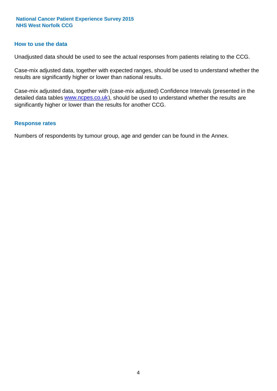#### **How to use the data**

Unadjusted data should be used to see the actual responses from patients relating to the CCG.

Case-mix adjusted data, together with expected ranges, should be used to understand whether the results are significantly higher or lower than national results.

Case-mix adjusted data, together with (case-mix adjusted) Confidence Intervals (presented in the detailed data tables **www.ncpes.co.uk**), should be used to understand whether the results are significantly higher or lower than the results for another CCG.

#### **Response rates**

Numbers of respondents by tumour group, age and gender can be found in the Annex.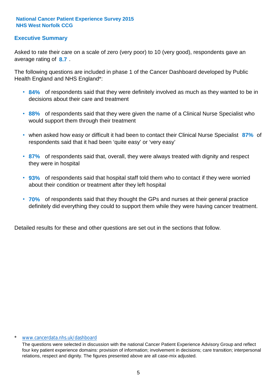#### **Executive Summary**

average rating of 8.7. Asked to rate their care on a scale of zero (very poor) to 10 (very good), respondents gave an

The following questions are included in phase 1 of the Cancer Dashboard developed by Public Health England and NHS England\*:

- **84%** of respondents said that they were definitely involved as much as they wanted to be in decisions about their care and treatment
- **88%** of respondents said that they were given the name of a Clinical Nurse Specialist who would support them through their treatment
- when asked how easy or difficult it had been to contact their Clinical Nurse Specialist 87% of respondents said that it had been 'quite easy' or 'very easy'
- **87%** of respondents said that, overall, they were always treated with dignity and respect they were in hospital
- **93%** of respondents said that hospital staff told them who to contact if they were worried about their condition or treatment after they left hospital
- **70%** of respondents said that they thought the GPs and nurses at their general practice definitely did everything they could to support them while they were having cancer treatment.

Detailed results for these and other questions are set out in the sections that follow.

#### \* www.cancerdata.nhs.uk/dashboard

The questions were selected in discussion with the national Cancer Patient Experience Advisory Group and reflect four key patient experience domains: provision of information; involvement in decisions; care transition; interpersonal relations, respect and dignity. The figures presented above are all case-mix adjusted.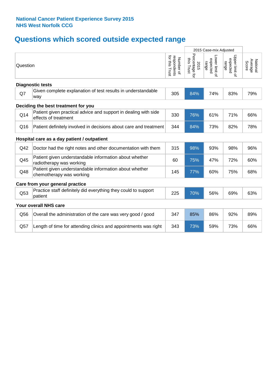# **Questions which scored outside expected range**

|          |                                                                                         |                                               |                                      | 2015 Case-mix Adjusted              |                                     |                              |
|----------|-----------------------------------------------------------------------------------------|-----------------------------------------------|--------------------------------------|-------------------------------------|-------------------------------------|------------------------------|
| Question |                                                                                         | for this<br>respondents<br>Number of<br>Trust | Percentage for<br>this Trust<br>2015 | Lower limit of<br>expected<br>range | Upper limit of<br>expected<br>range | Average<br>National<br>Score |
|          | <b>Diagnostic tests</b>                                                                 |                                               |                                      |                                     |                                     |                              |
| Q7       | Given complete explanation of test results in understandable<br>way                     | 305                                           | 84%                                  | 74%                                 | 83%                                 | 79%                          |
|          | Deciding the best treatment for you                                                     |                                               |                                      |                                     |                                     |                              |
| Q14      | Patient given practical advice and support in dealing with side<br>effects of treatment | 330                                           | 76%                                  | 61%                                 | 71%                                 | 66%                          |
| Q16      | Patient definitely involved in decisions about care and treatment                       | 344                                           | 84%                                  | 73%                                 | 82%                                 | 78%                          |
|          | Hospital care as a day patient / outpatient                                             |                                               |                                      |                                     |                                     |                              |
| Q42      | Doctor had the right notes and other documentation with them                            | 315                                           | 98%                                  | 93%                                 | 98%                                 | 96%                          |
| Q45      | Patient given understandable information about whether<br>radiotherapy was working      | 60                                            | 75%                                  | 47%                                 | 72%                                 | 60%                          |
| Q48      | Patient given understandable information about whether<br>chemotherapy was working      | 145                                           | 77%                                  | 60%                                 | 75%                                 | 68%                          |
|          | Care from your general practice                                                         |                                               |                                      |                                     |                                     |                              |
| Q53      | Practice staff definitely did everything they could to support<br>patient               | 225                                           | 70%                                  | 56%                                 | 69%                                 | 63%                          |
|          | Your overall NHS care                                                                   |                                               |                                      |                                     |                                     |                              |
| Q56      | Overall the administration of the care was very good / good                             | 347                                           | 85%                                  | 86%                                 | 92%                                 | 89%                          |
| Q57      | Length of time for attending clinics and appointments was right                         | 343                                           | 73%                                  | 59%                                 | 73%                                 | 66%                          |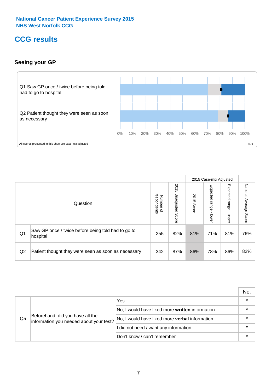### **CCG results**

#### **Seeing your GP**



|    |                                                                |                                         |                             |               | 2015 Case-mix Adjusted     |                            |                        |
|----|----------------------------------------------------------------|-----------------------------------------|-----------------------------|---------------|----------------------------|----------------------------|------------------------|
|    | Question                                                       | respondents<br>Number<br>$\overline{a}$ | 2015<br>Unadjusted<br>Score | 2015<br>Score | Expected<br>range<br>lower | Expected<br>range<br>nbber | National Average Score |
| Q1 | Saw GP once / twice before being told had to go to<br>hospital | 255                                     | 82%                         | 81%           | 71%                        | 81%                        | 76%                    |
| Q2 | Patient thought they were seen as soon as necessary            | 342                                     | 87%                         | 86%           | 78%                        | 86%                        | 82%                    |

|    |                                                                             |                                                 | No. |
|----|-----------------------------------------------------------------------------|-------------------------------------------------|-----|
| Q5 | Beforehand, did you have all the<br>information you needed about your test? | Yes                                             |     |
|    |                                                                             | No, I would have liked more written information |     |
|    |                                                                             | No, I would have liked more verbal information  |     |
|    |                                                                             | I did not need / want any information           |     |
|    |                                                                             | Don't know / can't remember                     |     |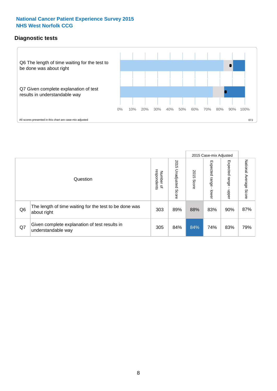#### **Diagnostic tests**



|                |                                                                       |                                       |                             |               | 2015 Case-mix Adjusted  |                         |                           |
|----------------|-----------------------------------------------------------------------|---------------------------------------|-----------------------------|---------------|-------------------------|-------------------------|---------------------------|
|                | Question                                                              | respondents<br>Number<br>$\mathbf{Q}$ | 2015<br>Unadjusted<br>Score | 2015<br>Score | Expected range<br>lower | Expected range<br>nbber | National Average<br>Score |
| Q <sub>6</sub> | The length of time waiting for the test to be done was<br>about right | 303                                   | 89%                         | 88%           | 83%                     | 90%                     | 87%                       |
| Q7             | Given complete explanation of test results in<br>understandable way   | 305                                   | 84%                         | 84%           | 74%                     | 83%                     | 79%                       |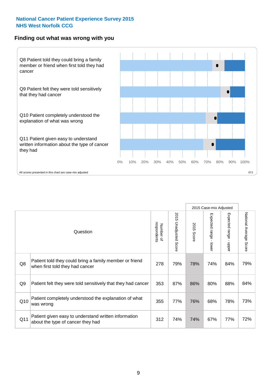#### **Finding out what was wrong with you**



|                |                                                                                            |                          |                             |               | 2015 Case-mix Adjusted                    |                           |                        |
|----------------|--------------------------------------------------------------------------------------------|--------------------------|-----------------------------|---------------|-------------------------------------------|---------------------------|------------------------|
|                | Question                                                                                   | respondents<br>Number of | 2015<br>Unadjusted<br>Score | 2015<br>Score | Expected range<br>$\blacksquare$<br>lower | Expected range<br>- nbber | National Average Score |
| Q8             | Patient told they could bring a family member or friend<br>when first told they had cancer | 278                      | 79%                         | 78%           | 74%                                       | 84%                       | 79%                    |
| Q <sub>9</sub> | Patient felt they were told sensitively that they had cancer                               | 353                      | 87%                         | 86%           | 80%                                       | 88%                       | 84%                    |
| Q10            | Patient completely understood the explanation of what<br>was wrong                         | 355                      | 77%                         | 76%           | 68%                                       | 78%                       | 73%                    |
| Q11            | Patient given easy to understand written information<br>about the type of cancer they had  | 312                      | 74%                         | 74%           | 67%                                       | 77%                       | 72%                    |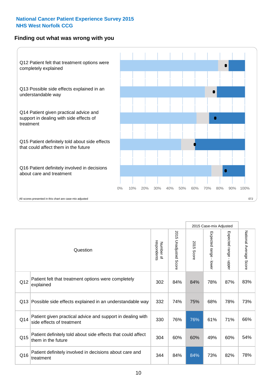#### **Finding out what was wrong with you**



|          |                                                                                         |                          |                       |               |                                           | 2015 Case-mix Adjusted    |                        |
|----------|-----------------------------------------------------------------------------------------|--------------------------|-----------------------|---------------|-------------------------------------------|---------------------------|------------------------|
| Question |                                                                                         | respondents<br>Number of | 2015 Unadjusted Score | 2015<br>Score | Expected range<br>$\blacksquare$<br>lower | Expected range<br>- nbber | National Average Score |
| Q12      | Patient felt that treatment options were completely<br>explained                        | 302                      | 84%                   | 84%           | 78%                                       | 87%                       | 83%                    |
| Q13      | Possible side effects explained in an understandable way                                | 332                      | 74%                   | 75%           | 68%                                       | 78%                       | 73%                    |
| Q14      | Patient given practical advice and support in dealing with<br>side effects of treatment | 330                      | 76%                   | 76%           | 61%                                       | 71%                       | 66%                    |
| Q15      | Patient definitely told about side effects that could affect<br>them in the future      | 304                      | 60%                   | 60%           | 49%                                       | 60%                       | 54%                    |
| Q16      | Patient definitely involved in decisions about care and<br>treatment                    | 344                      | 84%                   | 84%           | 73%                                       | 82%                       | 78%                    |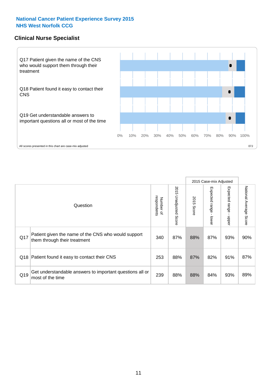#### **Clinical Nurse Specialist**



|     |                                                                                     |                          |                       |               | 2015 Case-mix Adjusted  |                         |                                  |
|-----|-------------------------------------------------------------------------------------|--------------------------|-----------------------|---------------|-------------------------|-------------------------|----------------------------------|
|     | Question                                                                            | respondents<br>Number of | 2015 Unadjusted Score | 2015<br>Score | Expected range<br>lower | Expected range<br>nbber | National Average<br><b>Score</b> |
| Q17 | Patient given the name of the CNS who would support<br>them through their treatment | 340                      | 87%                   | 88%           | 87%                     | 93%                     | 90%                              |
| Q18 | Patient found it easy to contact their CNS                                          | 253                      | 88%                   | 87%           | 82%                     | 91%                     | 87%                              |
| Q19 | Get understandable answers to important questions all or<br>most of the time        | 239                      | 88%                   | 88%           | 84%                     | 93%                     | 89%                              |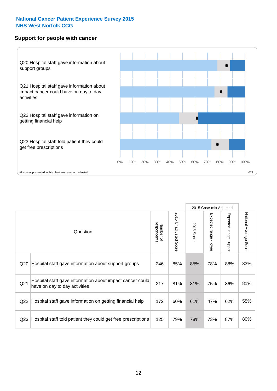#### **Support for people with cancer**



|                 |                                                                                            |                          |                             |                      | 2015 Case-mix Adjusted                  |                           |                        |
|-----------------|--------------------------------------------------------------------------------------------|--------------------------|-----------------------------|----------------------|-----------------------------------------|---------------------------|------------------------|
|                 | Question                                                                                   | respondents<br>Number of | 2015<br>Unadjusted<br>Score | 2015<br><b>Score</b> | Expected range<br>$\mathbf{r}$<br>lower | Expected range -<br>nbber | National Average Score |
| Q20             | Hospital staff gave information about support groups                                       | 246                      | 85%                         | 85%                  | 78%                                     | 88%                       | 83%                    |
| Q <sub>21</sub> | Hospital staff gave information about impact cancer could<br>have on day to day activities | 217                      | 81%                         | 81%                  | 75%                                     | 86%                       | 81%                    |
| Q22             | Hospital staff gave information on getting financial help                                  | 172                      | 60%                         | 61%                  | 47%                                     | 62%                       | 55%                    |
| Q <sub>23</sub> | Hospital staff told patient they could get free prescriptions                              | 125                      | 79%                         | 78%                  | 73%                                     | 87%                       | 80%                    |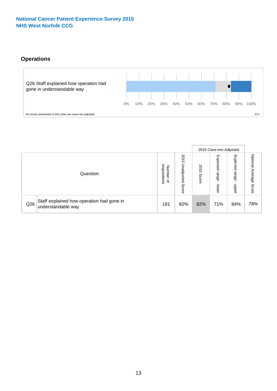#### **Operations**



|     |                                                                 |                                         |                             |                    | 2015 Case-mix Adjusted     |                            |                              |
|-----|-----------------------------------------------------------------|-----------------------------------------|-----------------------------|--------------------|----------------------------|----------------------------|------------------------------|
|     | Question                                                        | respondents<br>Number<br>$\overline{a}$ | 2015<br>Unadjusted<br>Score | 201<br>CΠ<br>Score | Expected<br>range<br>lower | Expected<br>range<br>doper | National<br>Average<br>Score |
| Q26 | Staff explained how operation had gone in<br>understandable way | 181                                     | 82%                         | 82%                | 71%                        | 84%                        | 78%                          |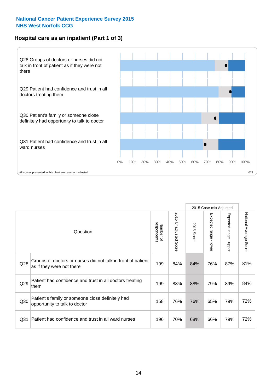#### **Hospital care as an inpatient (Part 1 of 3)**



All scores presented in this chart are case-mix adjusted  $07J$ 

|                 |                                                                                           |                          |                       |                      | 2015 Case-mix Adjusted                    |                                           |                        |
|-----------------|-------------------------------------------------------------------------------------------|--------------------------|-----------------------|----------------------|-------------------------------------------|-------------------------------------------|------------------------|
|                 | Question                                                                                  | respondents<br>Number of | 2015 Unadjusted Score | 2015<br><b>Score</b> | Expected range<br>$\blacksquare$<br>lower | Expected range<br>$\blacksquare$<br>nbber | National Average Score |
| Q28             | Groups of doctors or nurses did not talk in front of patient<br>as if they were not there | 199                      | 84%                   | 84%                  | 76%                                       | 87%                                       | 81%                    |
| Q29             | Patient had confidence and trust in all doctors treating<br>them                          | 199                      | 88%                   | 88%                  | 79%                                       | 89%                                       | 84%                    |
| Q30             | Patient's family or someone close definitely had<br>opportunity to talk to doctor         | 158                      | 76%                   | 76%                  | 65%                                       | 79%                                       | 72%                    |
| Q <sub>31</sub> | Patient had confidence and trust in all ward nurses                                       | 196                      | 70%                   | 68%                  | 66%                                       | 79%                                       | 72%                    |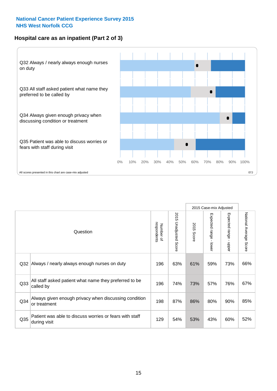#### **Hospital care as an inpatient (Part 2 of 3)**



2015 Case-mix Adjusted National Average Score 2015 Unadjusted Score Expected range - lower Expected range - upper 2015 Unadjusted Score Expected range - upper Expected range - lower Number of<br>respondents respondents 2015 Score 2015 Score Number of Question Q32 196 63% 61% 59% 73% Always / nearly always enough nurses on duty 66% Q33 196 74% 73% 57% 76% All staff asked patient what name they preferred to be called by 67% Always given enough privacy when discussing condition Q34 | critical particular critical princes in the discussing condition | 198 | 87% | 86% | 80% | 90% or treatment 85% Patient was able to discuss worries or fears with staff during visit during visit  $\frac{32\%}{129}$  and  $\frac{129}{54\%}$  53% 43% 60% 52% Q35 | discrete visit to discusse it also control of redictional case in the star that it also a set of the start that it also set of the start of the start of the start of the start of the start of the start of the start o

National Average Score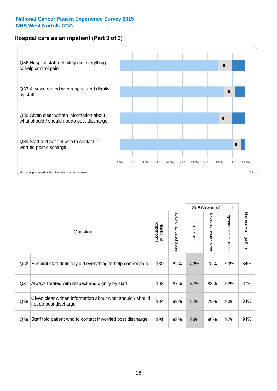#### **Hospital care as an inpatient (Part 3 of 3)**



|                 |                                                                                     |                          |                                 |               | 2015 Case-mix Adjusted                    |                           |                        |
|-----------------|-------------------------------------------------------------------------------------|--------------------------|---------------------------------|---------------|-------------------------------------------|---------------------------|------------------------|
|                 | Question                                                                            | Number of<br>respondents | 2015<br><b>Unadjusted Score</b> | 2015<br>Score | Expected range<br>$\blacksquare$<br>lower | Expected range -<br>nbber | National Average Score |
| Q36             | Hospital staff definitely did everything to help control pain                       | 160                      | 83%                             | 83%           | 78%                                       | 90%                       | 84%                    |
| Q <sub>37</sub> | Always treated with respect and dignity by staff                                    | 198                      | 87%                             | 87%           | 83%                                       | 92%                       | 87%                    |
| Q38             | Given clear written information about what should / should<br>not do post discharge | 184                      | 83%                             | 82%           | 79%                                       | 90%                       | 84%                    |
| Q39             | Staff told patient who to contact if worried post discharge                         | 191                      | 93%                             | 93%           | 90%                                       | 97%                       | 94%                    |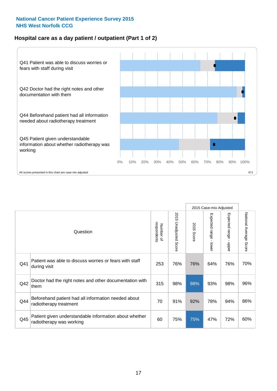#### **Hospital care as a day patient / outpatient (Part 1 of 2)**



|     |                                                                                    |                          |                                 |               | 2015 Case-mix Adjusted                  |                                         |                        |
|-----|------------------------------------------------------------------------------------|--------------------------|---------------------------------|---------------|-----------------------------------------|-----------------------------------------|------------------------|
|     | Question                                                                           | respondents<br>Number of | 2015<br><b>Unadjusted Score</b> | 2015<br>Score | Expected range<br>$\mathbf{I}$<br>lower | Expected range<br>$\mathbf{r}$<br>nbber | National Average Score |
| Q41 | Patient was able to discuss worries or fears with staff<br>during visit            | 253                      | 76%                             | 76%           | 64%                                     | 76%                                     | 70%                    |
| Q42 | Doctor had the right notes and other documentation with<br>them                    | 315                      | 98%                             | 98%           | 93%                                     | 98%                                     | 96%                    |
| Q44 | Beforehand patient had all information needed about<br>radiotherapy treatment      | 70                       | 91%                             | 92%           | 78%                                     | 94%                                     | 86%                    |
| Q45 | Patient given understandable information about whether<br>radiotherapy was working | 60                       | 75%                             | 75%           | 47%                                     | 72%                                     | 60%                    |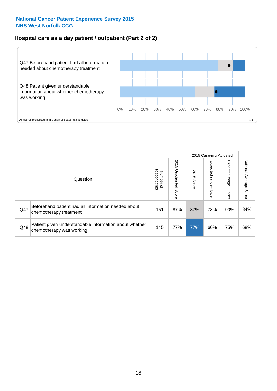#### **Hospital care as a day patient / outpatient (Part 2 of 2)**



|     |                                                                                    |                                   |                             |               | 2015 Case-mix Adjusted       |                            |                           |
|-----|------------------------------------------------------------------------------------|-----------------------------------|-----------------------------|---------------|------------------------------|----------------------------|---------------------------|
|     | Question                                                                           | respondents<br>Number<br>$\Omega$ | 2015<br>Unadjusted<br>Score | 2015<br>Score | Expected<br>I range<br>lower | Expected<br>range<br>nbber | National Average<br>Score |
| Q47 | Beforehand patient had all information needed about<br>chemotherapy treatment      | 151                               | 87%                         | 87%           | 78%                          | 90%                        | 84%                       |
| Q48 | Patient given understandable information about whether<br>chemotherapy was working | 145                               | 77%                         | 77%           | 60%                          | 75%                        | 68%                       |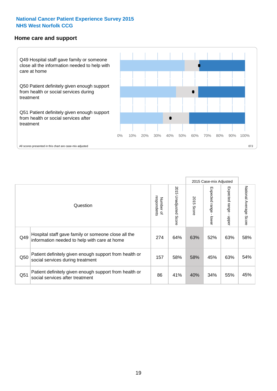#### **Home care and support**



All scores presented in this chart are case-mix adjusted

|                 |                                                                                                     |                          |                       |               | 2015 Case-mix Adjusted  |                         |                           |
|-----------------|-----------------------------------------------------------------------------------------------------|--------------------------|-----------------------|---------------|-------------------------|-------------------------|---------------------------|
|                 | Question                                                                                            | respondents<br>Number of | 2015 Unadjusted Score | 2015<br>Score | Expected range<br>lower | Expected range<br>nbber | National Average<br>Score |
| Q49             | Hospital staff gave family or someone close all the<br>information needed to help with care at home | 274                      | 64%                   | 63%           | 52%                     | 63%                     | 58%                       |
| Q50             | Patient definitely given enough support from health or<br>social services during treatment          | 157                      | 58%                   | 58%           | 45%                     | 63%                     | 54%                       |
| Q <sub>51</sub> | Patient definitely given enough support from health or<br>social services after treatment           | 86                       | 41%                   | 40%           | 34%                     | 55%                     | 45%                       |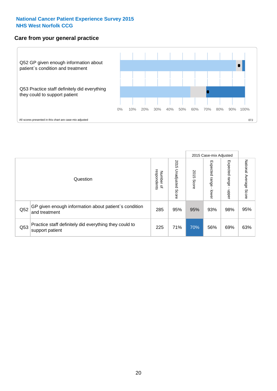#### **Care from your general practice**



|     |                                                                           |                                       |                             |               | 2015 Case-mix Adjusted             |                              |                           |
|-----|---------------------------------------------------------------------------|---------------------------------------|-----------------------------|---------------|------------------------------------|------------------------------|---------------------------|
|     | Question                                                                  | respondents<br>Number<br>$\mathbf{Q}$ | 2015<br>Unadjusted<br>Score | 2015<br>Score | Expected<br><b>Irange</b><br>lower | Expected<br>  range<br>nbber | National Average<br>Score |
| Q52 | GP given enough information about patient's condition<br>and treatment    | 285                                   | 95%                         | 95%           | 93%                                | 98%                          | 95%                       |
| Q53 | Practice staff definitely did everything they could to<br>support patient | 225                                   | 71%                         | 70%           | 56%                                | 69%                          | 63%                       |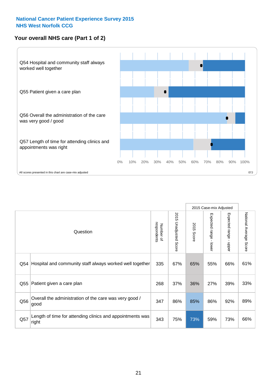### **Your overall NHS care (Part 1 of 2)**



|     |                                                                    |                          |                                 |               | 2015 Case-mix Adjusted                    |                                           |                        |
|-----|--------------------------------------------------------------------|--------------------------|---------------------------------|---------------|-------------------------------------------|-------------------------------------------|------------------------|
|     | Question                                                           | respondents<br>Number of | 2015<br><b>Unadjusted Score</b> | 2015<br>Score | Expected range<br>$\blacksquare$<br>lower | Expected range<br>$\blacksquare$<br>nbber | National Average Score |
| Q54 | Hospital and community staff always worked well together           | 335                      | 67%                             | 65%           | 55%                                       | 66%                                       | 61%                    |
| Q55 | Patient given a care plan                                          | 268                      | 37%                             | 36%           | 27%                                       | 39%                                       | 33%                    |
| Q56 | Overall the administration of the care was very good /<br>good     | 347                      | 86%                             | 85%           | 86%                                       | 92%                                       | 89%                    |
| Q57 | Length of time for attending clinics and appointments was<br>right | 343                      | 75%                             | 73%           | 59%                                       | 73%                                       | 66%                    |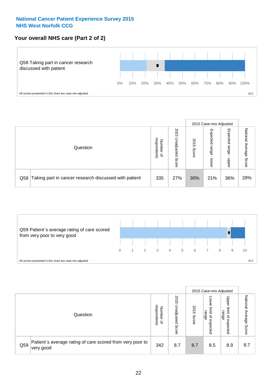#### **Your overall NHS care (Part 2 of 2)**



|                                                           |                                         |                             |               |                            | 2015 Case-mix Adjusted     |                           |
|-----------------------------------------------------------|-----------------------------------------|-----------------------------|---------------|----------------------------|----------------------------|---------------------------|
| Question                                                  | respondents<br>Number<br>$\overline{a}$ | 2015<br>Unadjusted<br>Score | 2015<br>Score | Expected<br>range<br>lower | Expected<br>range<br>doper | National<br>Average Score |
| Q58 Taking part in cancer research discussed with patient | 335                                     | 27%                         | 30%           | 21%                        | 36%                        | 28%                       |



|     |                                                                        |                                              | 2015 Case-mix Adjusted      |               |                                         |                                                       |                              |
|-----|------------------------------------------------------------------------|----------------------------------------------|-----------------------------|---------------|-----------------------------------------|-------------------------------------------------------|------------------------------|
|     | Question                                                               | respondents<br>Number<br>$\overline{\sigma}$ | 2015<br>Jnadjusted<br>Score | 2015<br>Score | OWer<br>limit<br>range<br>٩<br>expected | Upper<br>limit<br>range<br>$\overline{a}$<br>expected | National<br>Average<br>Score |
| Q59 | Patient's average rating of care scored from very poor to<br>very good | 342                                          | 8.7                         | 8.7           | 8.5                                     | 8.9                                                   | 8.7                          |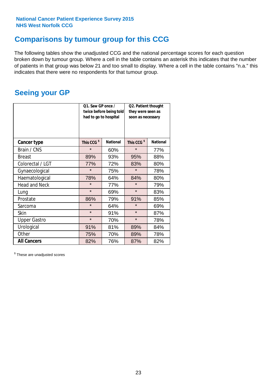### **Comparisons by tumour group for this CCG**

The following tables show the unadjusted CCG and the national percentage scores for each question broken down by tumour group. Where a cell in the table contains an asterisk this indicates that the number of patients in that group was below 21 and too small to display. Where a cell in the table contains "n.a." this indicates that there were no respondents for that tumour group.

### **Seeing your GP**

|                      | Q1. Saw GP once /<br>had to go to hospital | twice before being told | Q2. Patient thought<br>they were seen as<br>soon as necessary |                 |  |
|----------------------|--------------------------------------------|-------------------------|---------------------------------------------------------------|-----------------|--|
| <b>Cancer type</b>   | This CCG <sup>\$</sup>                     | <b>National</b>         | This CCG <sup>\$</sup>                                        | <b>National</b> |  |
| Brain / CNS          | $\star$                                    | 60%                     | $\star$                                                       | 77%             |  |
| <b>Breast</b>        | 89%                                        | 93%                     | 95%                                                           | 88%             |  |
| Colorectal / LGT     | 77%                                        | 72%                     | 83%                                                           | 80%             |  |
| Gynaecological       | $\star$                                    | 75%                     | $\star$                                                       | 78%             |  |
| Haematological       | 78%                                        | 64%                     | 84%                                                           | 80%             |  |
| <b>Head and Neck</b> | $\star$                                    | 77%                     | $\star$                                                       | 79%             |  |
| Lung                 | $\star$                                    | 69%                     | $\star$                                                       | 83%             |  |
| Prostate             | 86%                                        | 79%                     | 91%                                                           | 85%             |  |
| Sarcoma              | $\star$                                    | 64%                     | $\star$                                                       | 69%             |  |
| Skin                 | $\star$                                    | 91%                     | $\star$                                                       | 87%             |  |
| <b>Upper Gastro</b>  | $\star$                                    | 70%                     | $\star$                                                       | 78%             |  |
| Urological           | 91%                                        | 81%                     | 89%                                                           | 84%             |  |
| Other                | 75%                                        | 70%                     | 89%                                                           | 78%             |  |
| <b>All Cancers</b>   | 82%                                        | 76%                     | 87%                                                           | 82%             |  |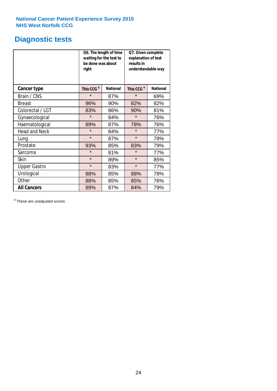### **Diagnostic tests**

|                      | be done was about<br>right | Q6. The length of time<br>waiting for the test to | Q7. Given complete<br>explanation of test<br>results in<br>understandable way |                 |  |
|----------------------|----------------------------|---------------------------------------------------|-------------------------------------------------------------------------------|-----------------|--|
| <b>Cancer type</b>   | This CCG <sup>\$</sup>     | <b>National</b>                                   | This CCG <sup>\$</sup>                                                        | <b>National</b> |  |
| Brain / CNS          | $\star$                    | 87%                                               | $\star$                                                                       | 69%             |  |
| <b>Breast</b>        | 96%                        | 90%                                               | 82%                                                                           | 82%             |  |
| Colorectal / LGT     | 83%                        | 86%                                               | 90%                                                                           | 81%             |  |
| Gynaecological       | $\star$                    | 84%                                               | $\star$                                                                       | 76%             |  |
| Haematological       | 89%                        | 87%                                               | 78%                                                                           | 76%             |  |
| <b>Head and Neck</b> | $\star$                    | 84%                                               | $\star$                                                                       | 77%             |  |
| Lung                 | $\star$                    | 87%                                               | $\star$                                                                       | 78%             |  |
| Prostate             | 93%                        | 85%                                               | 83%                                                                           | 79%             |  |
| Sarcoma              | $\star$                    | 81%                                               | $\star$                                                                       | 77%             |  |
| Skin                 | $\star$                    | 89%                                               | $\star$                                                                       | 85%             |  |
| <b>Upper Gastro</b>  | $\star$                    | 83%                                               | $\star$                                                                       | 77%             |  |
| Urological           | 88%                        | 85%                                               | 88%                                                                           | 78%             |  |
| Other                | 88%                        | 85%                                               | 85%                                                                           | 76%             |  |
| <b>All Cancers</b>   | 89%                        | 87%                                               | 84%                                                                           | 79%             |  |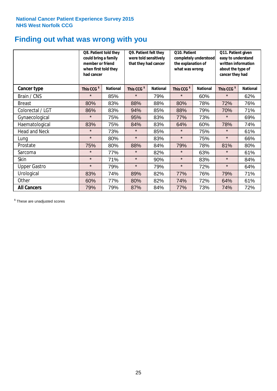### **Finding out what was wrong with you**

|                      | Q8. Patient told they<br>could bring a family<br>member or friend<br>when first told they<br>had cancer |                 | Q9. Patient felt they<br>were told sensitively<br>that they had cancer |                 | Q10. Patient<br>completely understood<br>the explanation of<br>what was wrong |                 | Q11. Patient given<br>easy to understand<br>written information<br>about the type of<br>cancer they had |                 |  |
|----------------------|---------------------------------------------------------------------------------------------------------|-----------------|------------------------------------------------------------------------|-----------------|-------------------------------------------------------------------------------|-----------------|---------------------------------------------------------------------------------------------------------|-----------------|--|
| Cancer type          | This CCG <sup>\$</sup>                                                                                  | <b>National</b> | This CCG <sup>\$</sup>                                                 | <b>National</b> | This CCG <sup>\$</sup>                                                        | <b>National</b> | This CCG <sup>\$</sup>                                                                                  | <b>National</b> |  |
| Brain / CNS          | $\star$                                                                                                 | 85%             | $\star$                                                                | 79%             | $\star$                                                                       | 60%             | $\star$                                                                                                 | 62%             |  |
| <b>Breast</b>        | 80%                                                                                                     | 83%             | 88%                                                                    | 88%             | 80%                                                                           | 78%             | 72%                                                                                                     | 76%             |  |
| Colorectal / LGT     | 86%                                                                                                     | 83%             | 94%                                                                    | 85%             | 88%                                                                           | 79%             | 70%                                                                                                     | 71%             |  |
| Gynaecological       | $\star$                                                                                                 | 75%             | 95%                                                                    | 83%             | 77%                                                                           | 73%             | $\star$                                                                                                 | 69%             |  |
| Haematological       | 83%                                                                                                     | 75%             | 84%                                                                    | 83%             | 64%                                                                           | 60%             | 78%                                                                                                     | 74%             |  |
| <b>Head and Neck</b> | $\star$                                                                                                 | 73%             | $\star$                                                                | 85%             | $\star$                                                                       | 75%             | $\star$                                                                                                 | 61%             |  |
| Lung                 | $\star$                                                                                                 | 80%             | $\star$                                                                | 83%             | $\star$                                                                       | 75%             | $\star$                                                                                                 | 66%             |  |
| Prostate             | 75%                                                                                                     | 80%             | 88%                                                                    | 84%             | 79%                                                                           | 78%             | 81%                                                                                                     | 80%             |  |
| Sarcoma              | $\star$                                                                                                 | 77%             | $\star$                                                                | 82%             | $\star$                                                                       | 63%             | $\star$                                                                                                 | 61%             |  |
| Skin                 | $\star$                                                                                                 | 71%             | $\star$                                                                | 90%             | $\star$                                                                       | 83%             | $\star$                                                                                                 | 84%             |  |
| <b>Upper Gastro</b>  | $\star$                                                                                                 | 79%             | $\star$                                                                | 79%             | $\star$                                                                       | 72%             | $\star$                                                                                                 | 64%             |  |
| Urological           | 83%                                                                                                     | 74%             | 89%                                                                    | 82%             | 77%                                                                           | 76%             | 79%                                                                                                     | 71%             |  |
| Other                | 60%                                                                                                     | 77%             | 80%                                                                    | 82%             | 74%                                                                           | 72%             | 64%                                                                                                     | 61%             |  |
| <b>All Cancers</b>   | 79%                                                                                                     | 79%             | 87%                                                                    | 84%             | 77%                                                                           | 73%             | 74%                                                                                                     | 72%             |  |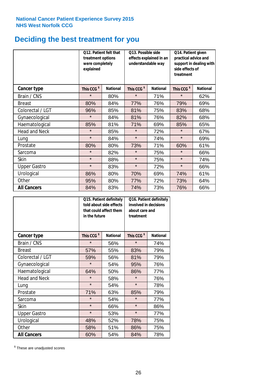# **Deciding the best treatment for you**

|                      | 012. Patient felt that<br>treatment options<br>were completely<br>explained |                 | O13. Possible side<br>understandable way | effects explained in an | Q14. Patient given<br>practical advice and<br>support in dealing with<br>side effects of<br>treatment |                 |  |
|----------------------|-----------------------------------------------------------------------------|-----------------|------------------------------------------|-------------------------|-------------------------------------------------------------------------------------------------------|-----------------|--|
| <b>Cancer type</b>   | This CCG <sup>\$</sup>                                                      | <b>National</b> | This CCG <sup>\$</sup>                   | <b>National</b>         | This CCG <sup>\$</sup>                                                                                | <b>National</b> |  |
| Brain / CNS          | $\star$                                                                     | 80%             | $\star$                                  | 71%                     | $\star$                                                                                               | 62%             |  |
| <b>Breast</b>        | 80%                                                                         | 84%             | 77%                                      | 76%                     | 79%                                                                                                   | 69%             |  |
| Colorectal / LGT     | 96%                                                                         | 85%             | 81%                                      | 75%                     | 83%                                                                                                   | 68%             |  |
| Gynaecological       | $\star$                                                                     | 84%             | 81%                                      | 76%                     | 82%                                                                                                   | 68%             |  |
| Haematological       | 85%                                                                         | 81%             | 71%                                      | 69%                     | 85%                                                                                                   | 65%             |  |
| <b>Head and Neck</b> | $\star$                                                                     | 85%             | $\star$                                  | 72%                     | $\star$                                                                                               | 67%             |  |
| Lung                 | $\star$                                                                     | 84%             | $\star$                                  | 74%                     | $\star$                                                                                               | 69%             |  |
| Prostate             | 80%                                                                         | 80%             | 73%                                      | 71%                     | 60%                                                                                                   | 61%             |  |
| Sarcoma              | $\star$                                                                     | 82%             | $\star$                                  | 75%                     | $\star$                                                                                               | 66%             |  |
| Skin                 | $\star$                                                                     | 88%             | $\star$                                  | 75%                     | $\star$                                                                                               | 74%             |  |
| <b>Upper Gastro</b>  | $\star$                                                                     | 83%             | $\star$                                  | 72%                     | $\star$                                                                                               | 66%             |  |
| Urological           | 86%                                                                         | 80%             | 70%                                      | 69%                     | 74%                                                                                                   | 61%             |  |
| Other                | 95%                                                                         | 80%             | 77%                                      | 72%                     | 73%                                                                                                   | 64%             |  |
| <b>All Cancers</b>   | 84%                                                                         | 83%             | 74%                                      | 73%                     | 76%                                                                                                   | 66%             |  |

|                      | in the future          | Q15. Patient definitely<br>told about side effects<br>that could affect them | Q16. Patient definitely<br>involved in decisions<br>about care and<br>treatment |                 |  |
|----------------------|------------------------|------------------------------------------------------------------------------|---------------------------------------------------------------------------------|-----------------|--|
| <b>Cancer type</b>   | This CCG <sup>\$</sup> | <b>National</b>                                                              | This CCG <sup>\$</sup>                                                          | <b>National</b> |  |
| Brain / CNS          | $\star$                | 56%                                                                          | $\star$                                                                         | 74%             |  |
| <b>Breast</b>        | 57%                    | 55%                                                                          | 83%                                                                             | 79%             |  |
| Colorectal / LGT     | 59%                    | 56%                                                                          | 81%                                                                             | 79%             |  |
| Gynaecological       | $\star$<br>54%         |                                                                              | 95%                                                                             | 76%             |  |
| Haematological       | 64%                    | 50%                                                                          |                                                                                 | 77%             |  |
| <b>Head and Neck</b> | $\star$                | 58%                                                                          | $\star$                                                                         | 76%             |  |
| Lung                 | $\star$                | 54%                                                                          | $\star$                                                                         | 78%             |  |
| Prostate             | 71%                    | 63%                                                                          | 85%                                                                             | 79%             |  |
| Sarcoma              | $\star$                | 54%                                                                          | $\star$                                                                         | 77%             |  |
| Skin                 | $\star$                | 66%                                                                          | $\star$                                                                         | 86%             |  |
| <b>Upper Gastro</b>  | $\star$                | 53%                                                                          | $\star$                                                                         | 77%             |  |
| Urological           | 48%                    | 52%                                                                          | 78%                                                                             | 75%             |  |
| Other                | 58%                    | 51%                                                                          | 86%                                                                             | 75%             |  |
| <b>All Cancers</b>   | 60%                    | 54%                                                                          | 84%                                                                             | 78%             |  |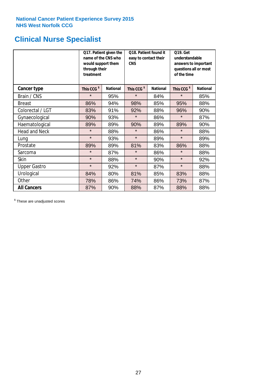### **Clinical Nurse Specialist**

|                      | would support them<br>through their<br>treatment | Q17. Patient given the<br>name of the CNS who | Q18. Patient found it<br>easy to contact their<br><b>CNS</b> |                 | <b>Q19. Get</b><br>understandable<br>answers to important<br>questions all or most<br>of the time |                 |  |
|----------------------|--------------------------------------------------|-----------------------------------------------|--------------------------------------------------------------|-----------------|---------------------------------------------------------------------------------------------------|-----------------|--|
| <b>Cancer type</b>   | This CCG <sup>\$</sup>                           | <b>National</b>                               | This CCG <sup>\$</sup>                                       | <b>National</b> | This CCG <sup>\$</sup>                                                                            | <b>National</b> |  |
| Brain / CNS          | $\star$                                          | 95%                                           | $\star$                                                      | 84%             | $\star$                                                                                           | 85%             |  |
| <b>Breast</b>        | 86%                                              | 94%                                           | 98%                                                          | 85%             | 95%                                                                                               | 88%             |  |
| Colorectal / LGT     | 83%                                              | 91%                                           | 92%                                                          | 88%             | 96%                                                                                               | 90%             |  |
| Gynaecological       | 90%                                              | 93%                                           | $\star$                                                      | 86%             | $\star$                                                                                           | 87%             |  |
| Haematological       | 89%                                              | 89%                                           | 90%                                                          | 89%             | 89%                                                                                               | 90%             |  |
| <b>Head and Neck</b> | $\star$                                          | 88%                                           | $\star$                                                      | 86%             | $\star$                                                                                           | 88%             |  |
| Lung                 | $\star$                                          | 93%                                           | $\star$                                                      | 89%             | $\star$                                                                                           | 89%             |  |
| Prostate             | 89%                                              | 89%                                           | 81%                                                          | 83%             | 86%                                                                                               | 88%             |  |
| Sarcoma              | $\star$                                          | 87%                                           | $\star$                                                      | 86%             | $\star$                                                                                           | 88%             |  |
| Skin                 | $\star$                                          | 88%                                           | $\star$                                                      | 90%             | $\star$                                                                                           | 92%             |  |
| <b>Upper Gastro</b>  | $\star$                                          | 92%                                           | $\star$                                                      | 87%             | $\star$                                                                                           | 88%             |  |
| Urological           | 84%                                              | 80%                                           | 81%                                                          | 85%             | 83%                                                                                               | 88%             |  |
| Other                | 78%                                              | 86%                                           | 74%                                                          | 86%             | 73%                                                                                               | 87%             |  |
| <b>All Cancers</b>   | 87%                                              | 90%                                           | 88%                                                          | 87%             | 88%                                                                                               | 88%             |  |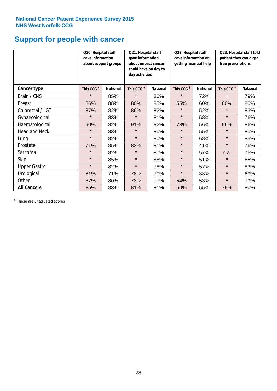# **Support for people with cancer**

|                      | Q20. Hospital staff<br>gave information | about support groups | Q21. Hospital staff<br>gave information<br>about impact cancer<br>could have on day to<br>day activities |                 | Q22. Hospital staff<br>gave information on<br>getting financial help |                 | Q23. Hospital staff told<br>patient they could get<br>free prescriptions |                 |
|----------------------|-----------------------------------------|----------------------|----------------------------------------------------------------------------------------------------------|-----------------|----------------------------------------------------------------------|-----------------|--------------------------------------------------------------------------|-----------------|
| Cancer type          | This CCG <sup>\$</sup>                  | <b>National</b>      | This CCG <sup>\$</sup>                                                                                   | <b>National</b> | This CCG <sup>\$</sup>                                               | <b>National</b> | This CCG <sup>\$</sup>                                                   | <b>National</b> |
| Brain / CNS          | $\star$                                 | 85%                  | $\star$                                                                                                  | 80%             | $\star$                                                              | 72%             | $\star$                                                                  | 79%             |
| <b>Breast</b>        | 86%                                     | 88%                  | 80%                                                                                                      | 85%             | 55%                                                                  | 60%             | 80%                                                                      | 80%             |
| Colorectal / LGT     | 87%                                     | 82%                  | 86%                                                                                                      | 82%             | $\star$                                                              | 52%             | $\star$                                                                  | 83%             |
| Gynaecological       | $\star$                                 | 83%                  | $\star$                                                                                                  | 81%             | $\star$                                                              | 58%             | $\star$                                                                  | 76%             |
| Haematological       | 90%                                     | 82%                  | 91%                                                                                                      | 82%             | 73%                                                                  | 56%             | 96%                                                                      | 86%             |
| <b>Head and Neck</b> | $\star$                                 | 83%                  | $\star$                                                                                                  | 80%             | $\star$                                                              | 55%             | $\star$                                                                  | 80%             |
| Lung                 | $\star$                                 | 82%                  | $\star$                                                                                                  | 80%             | $\star$                                                              | 68%             | $\star$                                                                  | 85%             |
| Prostate             | 71%                                     | 85%                  | 83%                                                                                                      | 81%             | $\star$                                                              | 41%             | $\star$                                                                  | 76%             |
| Sarcoma              | $\star$                                 | 82%                  | $\star$                                                                                                  | 80%             | $\star$                                                              | 57%             | n.a.                                                                     | 75%             |
| Skin                 | $\star$                                 | 85%                  | $\star$                                                                                                  | 85%             | $\star$                                                              | 51%             | $\star$                                                                  | 65%             |
| <b>Upper Gastro</b>  | $\star$                                 | 82%                  | $\star$                                                                                                  | 78%             | $\star$                                                              | 57%             | $\star$                                                                  | 83%             |
| Urological           | 81%                                     | 71%                  | 78%                                                                                                      | 70%             | $\star$                                                              | 33%             | $\star$                                                                  | 69%             |
| Other                | 87%                                     | 80%                  | 73%                                                                                                      | 77%             | 54%                                                                  | 53%             | $\star$                                                                  | 79%             |
| <b>All Cancers</b>   | 85%                                     | 83%                  | 81%                                                                                                      | 81%             | 60%                                                                  | 55%             | 79%                                                                      | 80%             |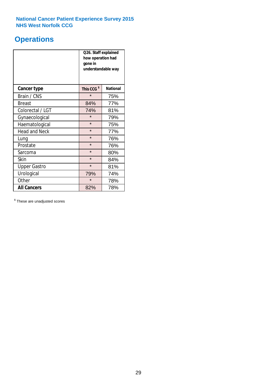### **Operations**

|                      | Q26. Staff explained<br>how operation had<br>gone in<br>understandable way |                 |  |  |
|----------------------|----------------------------------------------------------------------------|-----------------|--|--|
| <b>Cancer type</b>   | This CCG <sup>\$</sup>                                                     | <b>National</b> |  |  |
| Brain / CNS          | $\star$                                                                    | 75%             |  |  |
| <b>Breast</b>        | 84%                                                                        | 77%             |  |  |
| Colorectal / LGT     | 74%                                                                        | 81%             |  |  |
| Gynaecological       | $\star$                                                                    | 79%             |  |  |
| Haematological       | $\star$                                                                    | 75%             |  |  |
| <b>Head and Neck</b> | $\star$                                                                    | 77%             |  |  |
| Lung                 | $\star$                                                                    | 76%             |  |  |
| Prostate             | $\star$                                                                    | 76%             |  |  |
| Sarcoma              | $\star$                                                                    | 80%             |  |  |
| Skin                 | $\star$                                                                    | 84%             |  |  |
| <b>Upper Gastro</b>  | $\star$                                                                    | 81%             |  |  |
| Urological           | 79%                                                                        | 74%             |  |  |
| Other                | $\star$                                                                    | 78%             |  |  |
| <b>All Cancers</b>   | 82%                                                                        | 78%             |  |  |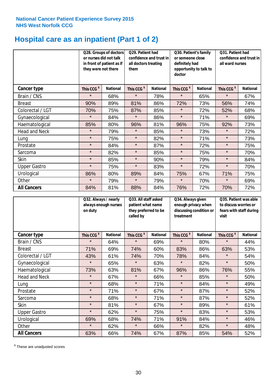### **Hospital care as an inpatient (Part 1 of 2)**

|                      |                        | Q28. Groups of doctors<br>or nurses did not talk<br>in front of patient as if<br>they were not there<br>them |                        | Q29. Patient had<br>confidence and trust in<br>all doctors treating | Q30. Patient's family<br>or someone close<br>definitely had<br>opportunity to talk to<br>doctor |                 | Q31. Patient had<br>confidence and trust in I<br>all ward nurses |                 |
|----------------------|------------------------|--------------------------------------------------------------------------------------------------------------|------------------------|---------------------------------------------------------------------|-------------------------------------------------------------------------------------------------|-----------------|------------------------------------------------------------------|-----------------|
| Cancer type          | This CCG <sup>\$</sup> | <b>National</b>                                                                                              | This CCG <sup>\$</sup> | <b>National</b>                                                     | This CCG <sup>\$</sup>                                                                          | <b>National</b> | This CCG <sup>\$</sup>                                           | <b>National</b> |
| Brain / CNS          | $\star$                | 68%                                                                                                          | $\star$                | 78%                                                                 | $\star$                                                                                         | 65%             | $\star$                                                          | 67%             |
| <b>Breast</b>        | 90%                    | 89%                                                                                                          | 81%                    | 86%                                                                 | 72%                                                                                             | 73%             | 56%                                                              | 74%             |
| Colorectal / LGT     | 70%                    | 75%                                                                                                          | 87%                    | 85%                                                                 | $\star$                                                                                         | 72%             | 52%                                                              | 68%             |
| Gynaecological       | $\star$                | 84%                                                                                                          | $\star$                | 86%                                                                 | $\star$                                                                                         | 71%             | $\star$                                                          | 69%             |
| Haematological       | 85%                    | 80%                                                                                                          | 96%                    | 81%                                                                 | 96%                                                                                             | 75%             | 92%                                                              | 73%             |
| <b>Head and Neck</b> | $\star$                | 79%                                                                                                          | $\star$                | 85%                                                                 | $\star$                                                                                         | 73%             | $\star$                                                          | 72%             |
| Lung                 | $\star$                | 75%                                                                                                          | $\star$                | 82%                                                                 | $\star$                                                                                         | 71%             | $\star$                                                          | 73%             |
| Prostate             | $\star$                | 84%                                                                                                          | $\star$                | 87%                                                                 | $\star$                                                                                         | 72%             | $\star$                                                          | 75%             |
| Sarcoma              | $\star$                | 82%                                                                                                          | $\star$                | 85%                                                                 | $\star$                                                                                         | 75%             | $\star$                                                          | 70%             |
| Skin                 | $\star$                | 85%                                                                                                          | $\star$                | 90%                                                                 | $\star$                                                                                         | 79%             | $\star$                                                          | 84%             |
| <b>Upper Gastro</b>  | $\star$                | 75%                                                                                                          | $\star$                | 83%                                                                 | $\star$                                                                                         | 72%             | $\star$                                                          | 70%             |
| Urological           | 86%                    | 80%                                                                                                          | 89%                    | 84%                                                                 | 75%                                                                                             | 67%             | 71%                                                              | 75%             |
| Other                | $\star$                | 79%                                                                                                          | $\star$                | 79%                                                                 | $\star$                                                                                         | 70%             | $\star$                                                          | 69%             |
| <b>All Cancers</b>   | 84%                    | 81%                                                                                                          | 88%                    | 84%                                                                 | 76%                                                                                             | 72%             | 70%                                                              | 72%             |

|                      | Q32. Always / nearly<br>always enough nurses<br>on duty |                 | Q33. All staff asked<br>patient what name<br>they preferred to be<br>called by |                 | Q34. Always given<br>enough privacy when<br>discussing condition or<br>treatment |                 | Q35. Patient was able<br>to discuss worries or<br>fears with staff during<br>visit |                 |
|----------------------|---------------------------------------------------------|-----------------|--------------------------------------------------------------------------------|-----------------|----------------------------------------------------------------------------------|-----------------|------------------------------------------------------------------------------------|-----------------|
| <b>Cancer type</b>   | This CCG <sup>\$</sup>                                  | <b>National</b> | This CCG <sup>\$</sup>                                                         | <b>National</b> | This CCG <sup>\$</sup>                                                           | <b>National</b> | This CCG <sup>\$</sup>                                                             | <b>National</b> |
| Brain / CNS          | $\star$                                                 | 64%             | $\star$                                                                        | 69%             | $\star$                                                                          | 80%             | $\star$                                                                            | 44%             |
| <b>Breast</b>        | 71%                                                     | 69%             | 74%                                                                            | 60%             | 83%                                                                              | 86%             | 63%                                                                                | 53%             |
| Colorectal / LGT     | 43%                                                     | 61%             | 74%                                                                            | 70%             | 78%                                                                              | 84%             | $\star$                                                                            | 54%             |
| Gynaecological       | $\star$                                                 | 65%             | $\star$                                                                        | 63%             | $\star$                                                                          | 82%             | $\star$                                                                            | 50%             |
| Haematological       | 73%                                                     | 63%             | 81%                                                                            | 67%             | 96%                                                                              | 86%             | 76%                                                                                | 55%             |
| <b>Head and Neck</b> | $\star$                                                 | 67%             | $\star$                                                                        | 66%             | $\star$                                                                          | 85%             | $\star$                                                                            | 50%             |
| Lung                 | $\star$                                                 | 68%             | $\star$                                                                        | 71%             | $\star$                                                                          | 84%             | $\star$                                                                            | 49%             |
| Prostate             | $\star$                                                 | 71%             | $\star$                                                                        | 67%             | $\star$                                                                          | 87%             | $\star$                                                                            | 52%             |
| Sarcoma              | $\star$                                                 | 68%             | $\star$                                                                        | 71%             | $\star$                                                                          | 87%             | $\star$                                                                            | 52%             |
| Skin                 | $\star$                                                 | 81%             | $\star$                                                                        | 67%             | $\star$                                                                          | 89%             | $\star$                                                                            | 61%             |
| <b>Upper Gastro</b>  | $\star$                                                 | 62%             | $\star$                                                                        | 75%             | $\star$                                                                          | 83%             | $\star$                                                                            | 53%             |
| Urological           | 69%                                                     | 68%             | 74%                                                                            | 71%             | 91%                                                                              | 84%             | $\star$                                                                            | 46%             |
| Other                | $\star$                                                 | 62%             | $\star$                                                                        | 66%             | $\star$                                                                          | 82%             | $\star$                                                                            | 48%             |
| <b>All Cancers</b>   | 63%                                                     | 66%             | 74%                                                                            | 67%             | 87%                                                                              | 85%             | 54%                                                                                | 52%             |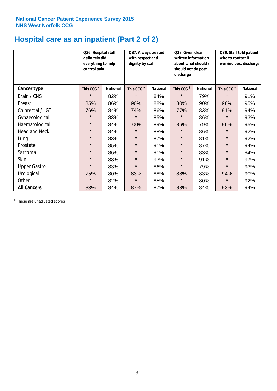### **Hospital care as an inpatient (Part 2 of 2)**

|                      | Q36. Hospital staff<br>definitely did<br>everything to help<br>control pain |                 | Q37. Always treated<br>with respect and<br>dignity by staff |                 | Q38. Given clear<br>written information<br>about what should /<br>should not do post<br>discharge |                 | Q39. Staff told patient<br>who to contact if<br>worried post discharge |                 |
|----------------------|-----------------------------------------------------------------------------|-----------------|-------------------------------------------------------------|-----------------|---------------------------------------------------------------------------------------------------|-----------------|------------------------------------------------------------------------|-----------------|
| Cancer type          | This CCG <sup>\$</sup>                                                      | <b>National</b> | This CCG <sup>\$</sup>                                      | <b>National</b> | This CCG <sup>\$</sup>                                                                            | <b>National</b> | This CCG <sup>\$</sup>                                                 | <b>National</b> |
| Brain / CNS          | $\star$                                                                     | 82%             | $\star$                                                     | 84%             | $\star$                                                                                           | 79%             | $\star$                                                                | 91%             |
| <b>Breast</b>        | 85%                                                                         | 86%             | 90%                                                         | 88%             | 80%                                                                                               | 90%             | 98%                                                                    | 95%             |
| Colorectal / LGT     | 76%                                                                         | 84%             | 74%                                                         | 86%             | 77%                                                                                               | 83%             | 91%                                                                    | 94%             |
| Gynaecological       | $\star$                                                                     | 83%             | $\star$                                                     | 85%             | $\star$                                                                                           | 86%             | $\star$                                                                | 93%             |
| Haematological       | $\star$                                                                     | 84%             | 100%                                                        | 89%             | 86%                                                                                               | 79%             | 96%                                                                    | 95%             |
| <b>Head and Neck</b> | $\star$                                                                     | 84%             | $\star$                                                     | 88%             | $\star$                                                                                           | 86%             | $\star$                                                                | 92%             |
| Lung                 | $\star$                                                                     | 83%             | $\star$                                                     | 87%             | $\star$                                                                                           | 81%             | $\star$                                                                | 92%             |
| Prostate             | $\star$                                                                     | 85%             | $\star$                                                     | 91%             | $\star$                                                                                           | 87%             | $\star$                                                                | 94%             |
| Sarcoma              | $\star$                                                                     | 86%             | $\star$                                                     | 91%             | $\star$                                                                                           | 83%             | $\star$                                                                | 94%             |
| Skin                 | $\star$                                                                     | 88%             | $\star$                                                     | 93%             | $\star$                                                                                           | 91%             | $\star$                                                                | 97%             |
| <b>Upper Gastro</b>  | $\star$                                                                     | 83%             | $\star$                                                     | 86%             | $\star$                                                                                           | 79%             | $\star$                                                                | 93%             |
| Urological           | 75%                                                                         | 80%             | 83%                                                         | 88%             | 88%                                                                                               | 83%             | 94%                                                                    | 90%             |
| Other                | $\star$                                                                     | 82%             | $\star$                                                     | 85%             | $\star$                                                                                           | 80%             | $\star$                                                                | 92%             |
| <b>All Cancers</b>   | 83%                                                                         | 84%             | 87%                                                         | 87%             | 83%                                                                                               | 84%             | 93%                                                                    | 94%             |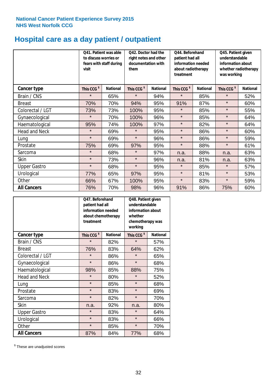# **Hospital care as a day patient / outpatient**

|                      | to discuss worries or<br>visit | Q41. Patient was able<br>fears with staff during | Q42. Doctor had the<br>right notes and other<br>documentation with<br>them |                 | Q44. Beforehand<br>patient had all<br>information needed<br>about radiotherapy<br>treatment |                 | Q45. Patient given<br>understandable<br>information about<br>whether radiotherapy<br>was working |                 |
|----------------------|--------------------------------|--------------------------------------------------|----------------------------------------------------------------------------|-----------------|---------------------------------------------------------------------------------------------|-----------------|--------------------------------------------------------------------------------------------------|-----------------|
| Cancer type          | This CCG <sup>\$</sup>         | <b>National</b>                                  | This CCG <sup>\$</sup>                                                     | <b>National</b> | This CCG <sup>\$</sup>                                                                      | <b>National</b> | This CCG <sup>\$</sup>                                                                           | <b>National</b> |
| Brain / CNS          | $\star$                        | 65%                                              | $\star$                                                                    | 94%             | $\star$                                                                                     | 85%             | $\star$                                                                                          | 52%             |
| <b>Breast</b>        | 70%                            | 70%                                              | 94%                                                                        | 95%             | 91%                                                                                         | 87%             | $\star$                                                                                          | 60%             |
| Colorectal / LGT     | 73%                            | 73%                                              | 100%                                                                       | 95%             | $\star$                                                                                     | 85%             | $\star$                                                                                          | 55%             |
| Gynaecological       | $\star$                        | 70%                                              | 100%                                                                       | 96%             | $\star$                                                                                     | 85%             | $\star$                                                                                          | 64%             |
| Haematological       | 95%                            | 74%                                              | 100%                                                                       | 97%             | $\star$                                                                                     | 82%             | $\star$                                                                                          | 64%             |
| <b>Head and Neck</b> | $\star$                        | 69%                                              | $\star$                                                                    | 95%             | $\star$                                                                                     | 86%             | $\star$                                                                                          | 60%             |
| Lung                 | $\star$                        | 69%                                              | $\star$                                                                    | 96%             | $\star$                                                                                     | 86%             | $\star$                                                                                          | 59%             |
| Prostate             | 75%                            | 69%                                              | 97%                                                                        | 95%             | $\star$                                                                                     | 88%             | $\star$                                                                                          | 61%             |
| Sarcoma              | $\star$                        | 68%                                              | $\star$                                                                    | 97%             | n.a.                                                                                        | 88%             | n.a.                                                                                             | 63%             |
| Skin                 | $\star$                        | 73%                                              | $\star$                                                                    | 96%             | n.a.                                                                                        | 81%             | n.a.                                                                                             | 63%             |
| <b>Upper Gastro</b>  | $\star$                        | 68%                                              | $\star$                                                                    | 95%             | $\star$                                                                                     | 85%             | $\star$                                                                                          | 57%             |
| Urological           | 77%                            | 65%                                              | 97%                                                                        | 95%             | $\star$                                                                                     | 81%             | $\star$                                                                                          | 53%             |
| Other                | 66%                            | 67%                                              | 100%                                                                       | 95%             | $\star$                                                                                     | 83%             | $\star$                                                                                          | 59%             |
| <b>All Cancers</b>   | 76%                            | 70%                                              | 98%                                                                        | 96%             | 91%                                                                                         | 86%             | 75%                                                                                              | 60%             |

|                      | O47. Beforehand<br>patient had all<br>information needed<br>about chemotherapy<br>treatment |                 | Q48. Patient given<br>understandable<br>information about<br>whether<br>chemotherapy was<br>working |                 |  |
|----------------------|---------------------------------------------------------------------------------------------|-----------------|-----------------------------------------------------------------------------------------------------|-----------------|--|
| <b>Cancer type</b>   | This CCG <sup>\$</sup>                                                                      | <b>National</b> | This CCG <sup>\$</sup>                                                                              | <b>National</b> |  |
| Brain / CNS          | $\star$                                                                                     | 82%             | $\star$                                                                                             | 57%             |  |
| <b>Breast</b>        | 76%                                                                                         | 83%             | 64%                                                                                                 | 62%             |  |
| Colorectal / LGT     | $\star$                                                                                     | 86%             | $\star$                                                                                             | 65%             |  |
| Gynaecological       | $\star$                                                                                     | 86%             | $\star$                                                                                             | 68%             |  |
| Haematological       | 98%<br>85%                                                                                  |                 | 88%                                                                                                 | 75%             |  |
| <b>Head and Neck</b> | $\star$                                                                                     | 80%             | $\star$                                                                                             | 52%             |  |
| Lung                 | $\star$                                                                                     | 85%             | $\star$                                                                                             | 68%             |  |
| Prostate             | $\star$                                                                                     | 83%             | $\star$                                                                                             | 69%             |  |
| Sarcoma              | $\star$                                                                                     | 82%             | $\star$                                                                                             | 70%             |  |
| Skin                 | n.a.                                                                                        | 92%             | n.a.                                                                                                | 80%             |  |
| <b>Upper Gastro</b>  | $\star$                                                                                     | 83%             | $\star$                                                                                             | 64%             |  |
| Urological           | $\star$                                                                                     | 83%             |                                                                                                     | 66%             |  |
| Other                | $\star$                                                                                     | 85%             | $\star$                                                                                             | 70%             |  |
| <b>All Cancers</b>   | 87%                                                                                         | 84%             | 77%                                                                                                 | 68%             |  |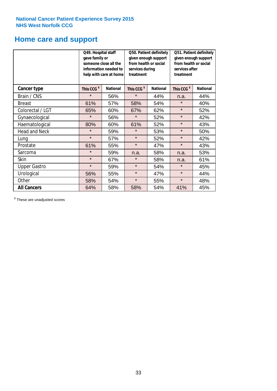### **Home care and support**

|                      | Q49. Hospital staff<br>gave family or | someone close all the<br>information needed to<br>help with care at home | Q50. Patient definitely<br>given enough support<br>from health or social<br>services during<br>treatment |                 | Q51. Patient definitely<br>given enough support<br>from health or social<br>services after<br>treatment |                 |
|----------------------|---------------------------------------|--------------------------------------------------------------------------|----------------------------------------------------------------------------------------------------------|-----------------|---------------------------------------------------------------------------------------------------------|-----------------|
| <b>Cancer type</b>   | This CCG <sup>\$</sup>                | <b>National</b><br>This CCG <sup>\$</sup>                                |                                                                                                          | <b>National</b> | This CCG <sup>\$</sup>                                                                                  | <b>National</b> |
| Brain / CNS          | $\star$                               | 56%                                                                      | $\star$                                                                                                  | 44%             | n.a.                                                                                                    | 44%             |
| <b>Breast</b>        | 61%                                   | 57%                                                                      | 58%                                                                                                      | 54%             | $\star$                                                                                                 | 40%             |
| Colorectal / LGT     | 65%                                   | 60%                                                                      | 67%                                                                                                      | 62%             | $\star$                                                                                                 | 52%             |
| Gynaecological       | $\star$                               | 56%                                                                      | $\star$                                                                                                  | 52%             | $\star$                                                                                                 | 42%             |
| Haematological       | 80%                                   | 60%                                                                      | 61%                                                                                                      | 52%             | $\star$                                                                                                 | 43%             |
| <b>Head and Neck</b> | $\star$                               | 59%                                                                      | $\star$                                                                                                  | 53%             | $\star$                                                                                                 | 50%             |
| Lung                 | $\star$                               | 57%                                                                      | $\star$                                                                                                  | 52%             | $\star$                                                                                                 | 42%             |
| Prostate             | 61%                                   | 55%                                                                      | $\star$                                                                                                  | 47%             | $\star$                                                                                                 | 43%             |
| Sarcoma              | $\star$                               | 59%                                                                      | n.a.                                                                                                     | 58%             | n.a.                                                                                                    | 53%             |
| Skin                 | $\star$                               | 67%                                                                      | $\star$                                                                                                  | 58%             | n.a.                                                                                                    | 61%             |
| <b>Upper Gastro</b>  | $\star$                               | 59%                                                                      | $\star$                                                                                                  | 54%             | $\star$                                                                                                 | 45%             |
| Urological           | 56%                                   | 55%                                                                      | $\star$                                                                                                  | 47%             | $\star$                                                                                                 | 44%             |
| Other                | 58%                                   | 54%                                                                      | $\star$                                                                                                  | 55%             | $\star$                                                                                                 | 48%             |
| <b>All Cancers</b>   | 64%                                   | 58%                                                                      | 58%                                                                                                      | 54%             | 41%                                                                                                     | 45%             |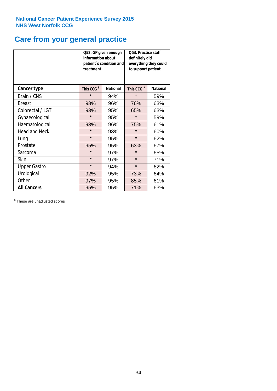### **Care from your general practice**

|                      | information about<br>treatment | Q52. GP given enough<br>patient's condition and | O53. Practice staff<br>definitely did<br>everything they could<br>to support patient |                 |  |
|----------------------|--------------------------------|-------------------------------------------------|--------------------------------------------------------------------------------------|-----------------|--|
| <b>Cancer type</b>   | This CCG <sup>\$</sup>         | <b>National</b>                                 | This CCG <sup>\$</sup>                                                               | <b>National</b> |  |
| Brain / CNS          | $\star$                        | 94%                                             | $\star$                                                                              | 59%             |  |
| <b>Breast</b>        | 98%                            | 96%                                             | 76%                                                                                  | 63%             |  |
| Colorectal / LGT     | 93%                            | 95%                                             | 65%                                                                                  | 63%             |  |
| Gynaecological       | $\star$                        | 95%                                             | $\star$                                                                              | 59%             |  |
| Haematological       | 93%                            | 96%                                             | 75%                                                                                  | 61%             |  |
| <b>Head and Neck</b> | $\star$                        | 93%                                             | $\star$                                                                              | 60%             |  |
| Lung                 | $\star$                        | 95%                                             | $\star$                                                                              | 62%             |  |
| Prostate             | 95%                            | 95%                                             | 63%                                                                                  | 67%             |  |
| Sarcoma              | $\star$                        | 97%                                             | $\star$                                                                              | 65%             |  |
| Skin                 | $\star$                        | 97%                                             | $\star$                                                                              | 71%             |  |
| <b>Upper Gastro</b>  | $\star$                        | 94%                                             | $\star$                                                                              | 62%             |  |
| Urological           | 92%                            | 95%                                             | 73%                                                                                  | 64%             |  |
| Other                | 97%                            | 95%                                             | 85%                                                                                  | 61%             |  |
| <b>All Cancers</b>   | 95%                            | 95%                                             | 71%                                                                                  | 63%             |  |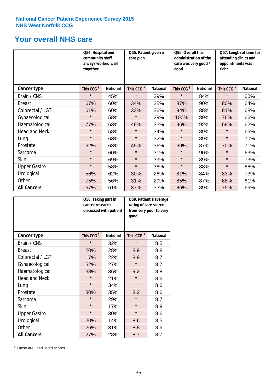### **Your overall NHS care**

|                      | Q54. Hospital and<br>community staff<br>always worked well<br>together |                 | Q55. Patient given a<br>care plan |                 | Q56. Overall the<br>administration of the<br>care was very good /<br>qood |                 | Q57. Length of time for<br>attending clinics and<br>appointments was<br>right |                 |
|----------------------|------------------------------------------------------------------------|-----------------|-----------------------------------|-----------------|---------------------------------------------------------------------------|-----------------|-------------------------------------------------------------------------------|-----------------|
| Cancer type          | This CCG <sup>\$</sup>                                                 | <b>National</b> | This CCG <sup>\$</sup>            | <b>National</b> | This CCG <sup>\$</sup>                                                    | <b>National</b> | This CCG <sup>\$</sup>                                                        | <b>National</b> |
| Brain / CNS          | $\star$                                                                | 45%             | $\star$                           | 29%             | $\star$                                                                   | 84%             | $\star$                                                                       | 60%             |
| <b>Breast</b>        | 67%                                                                    | 60%             | 34%                               | 35%             | 87%                                                                       | 90%             | 80%                                                                           | 64%             |
| Colorectal / LGT     | 61%                                                                    | 60%             | 33%                               | 36%             | 94%                                                                       | 88%             | 81%                                                                           | 68%             |
| Gynaecological       | $\star$                                                                | 58%             | $\star$                           | 29%             | 100%                                                                      | 89%             | 76%                                                                           | 66%             |
| Haematological       | 77%                                                                    | 63%             | 49%                               | 33%             | 96%                                                                       | 92%             | 69%                                                                           | 62%             |
| <b>Head and Neck</b> | $\star$                                                                | 58%             | $\star$                           | 34%             | $\star$                                                                   | 89%             | $\star$                                                                       | 65%             |
| Lung                 | $\star$                                                                | 63%             | $\star$                           | 32%             | $\star$                                                                   | 89%             | $\star$                                                                       | 70%             |
| Prostate             | 62%                                                                    | 63%             | 45%                               | 36%             | 69%                                                                       | 87%             | 70%                                                                           | 71%             |
| Sarcoma              | $\star$                                                                | 60%             | $\star$                           | 31%             | $\star$                                                                   | 90%             | $\star$                                                                       | 63%             |
| Skin                 | $\star$                                                                | 69%             | $\star$                           | 39%             | $\star$                                                                   | 89%             | $\star$                                                                       | 73%             |
| <b>Upper Gastro</b>  | $\star$                                                                | 58%             | $\star$                           | 36%             | $\star$                                                                   | 88%             | $\star$                                                                       | 66%             |
| Urological           | 56%                                                                    | 62%             | 30%                               | 26%             | 81%                                                                       | 84%             | 83%                                                                           | 73%             |
| Other                | 75%                                                                    | 56%             | 31%                               | 29%             | 85%                                                                       | 87%             | 68%                                                                           | 61%             |
| <b>All Cancers</b>   | 67%                                                                    | 61%             | 37%                               | 33%             | 86%                                                                       | 89%             | 75%                                                                           | 66%             |

|                      | Q58. Taking part in<br>cancer research | discussed with patient | Q59. Patient's average<br>rating of care scored<br>from very poor to very<br>good |                 |  |
|----------------------|----------------------------------------|------------------------|-----------------------------------------------------------------------------------|-----------------|--|
| <b>Cancer type</b>   | This CCG <sup>\$</sup>                 | <b>National</b>        | This CCG <sup>\$</sup>                                                            | <b>National</b> |  |
| Brain / CNS          | $\star$                                | 32%                    | $\star$                                                                           | 8.5             |  |
| <b>Breast</b>        | 20%                                    | 28%                    | 8.9                                                                               | 8.8             |  |
| Colorectal / LGT     | 17%                                    | 22%                    | 8.9                                                                               | 8.7             |  |
| Gynaecological       | 52%                                    | 27%                    | $\star$                                                                           | 8.7             |  |
| Haematological       | 38%                                    | 36%                    | 9.2                                                                               | 8.8             |  |
| <b>Head and Neck</b> | $\star$                                | 21%                    | $\star$                                                                           | 8.6             |  |
| Lung                 | $\star$                                | 34%                    | $\star$                                                                           | 8.6             |  |
| Prostate             | 30%                                    | 35%                    | 8.2                                                                               | 8.6             |  |
| Sarcoma              | $\star$                                | 29%                    | $\star$                                                                           | 8.7             |  |
| Skin                 | $\star$                                | 17%                    | $\star$                                                                           | 8.9             |  |
| <b>Upper Gastro</b>  | $\star$                                | 30%                    | $\star$                                                                           | 8.6             |  |
| Urological           | 20%                                    | 14%                    | 8.6                                                                               | 8.5             |  |
| Other                | 26%                                    | 31%                    | 8.8                                                                               | 8.6             |  |
| <b>All Cancers</b>   | 27%                                    | 28%                    | 8.7                                                                               | 8.7             |  |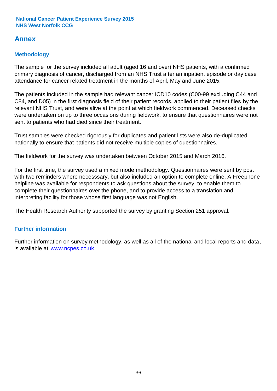### **Annex**

### **Methodology**

The sample for the survey included all adult (aged 16 and over) NHS patients, with a confirmed primary diagnosis of cancer, discharged from an NHS Trust after an inpatient episode or day case attendance for cancer related treatment in the months of April, May and June 2015.

The patients included in the sample had relevant cancer ICD10 codes (C00-99 excluding C44 and C84, and D05) in the first diagnosis field of their patient records, applied to their patient files by the relevant NHS Trust, and were alive at the point at which fieldwork commenced. Deceased checks were undertaken on up to three occasions during fieldwork, to ensure that questionnaires were not sent to patients who had died since their treatment.

Trust samples were checked rigorously for duplicates and patient lists were also de-duplicated nationally to ensure that patients did not receive multiple copies of questionnaires.

The fieldwork for the survey was undertaken between October 2015 and March 2016.

For the first time, the survey used a mixed mode methodology. Questionnaires were sent by post with two reminders where necesssary, but also included an option to complete online. A Freephone helpline was available for respondents to ask questions about the survey, to enable them to complete their questionnaires over the phone, and to provide access to a translation and interpreting facility for those whose first language was not English.

The Health Research Authority supported the survey by granting Section 251 approval.

#### **Further information**

Further information on survey methodology, as well as all of the national and local reports and data, is available at www.ncpes.co.uk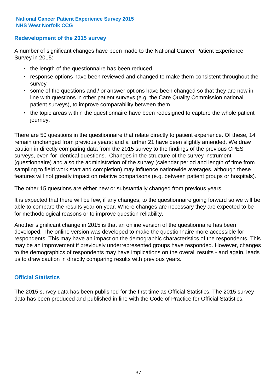#### **Redevelopment of the 2015 survey**

A number of significant changes have been made to the National Cancer Patient Experience Survey in 2015:

- the length of the questionnaire has been reduced
- response options have been reviewed and changed to make them consistent throughout the survey
- some of the questions and / or answer options have been changed so that they are now in line with questions in other patient surveys (e.g. the Care Quality Commission national patient surveys), to improve comparability between them
- the topic areas within the questionnaire have been redesigned to capture the whole patient journey.

There are 50 questions in the questionnaire that relate directly to patient experience. Of these, 14 remain unchanged from previous years; and a further 21 have been slightly amended. We draw caution in directly comparing data from the 2015 survey to the findings of the previous CPES surveys, even for identical questions. Changes in the structure of the survey instrument (questionnaire) and also the administration of the survey (calendar period and length of time from sampling to field work start and completion) may influence nationwide averages, although these features will not greatly impact on relative comparisons (e.g. between patient groups or hospitals).

The other 15 questions are either new or substantially changed from previous years.

It is expected that there will be few, if any changes, to the questionnaire going forward so we will be able to compare the results year on year. Where changes are necessary they are expected to be for methodological reasons or to improve question reliability.

Another significant change in 2015 is that an online version of the questionnaire has been developed. The online version was developed to make the questionnaire more accessible for respondents. This may have an impact on the demographic characteristics of the respondents. This may be an improvement if previously underrepresented groups have responded. However, changes to the demographics of respondents may have implications on the overall results - and again, leads us to draw caution in directly comparing results with previous years.

#### **Official Statistics**

The 2015 survey data has been published for the first time as Official Statistics. The 2015 survey data has been produced and published in line with the Code of Practice for Official Statistics.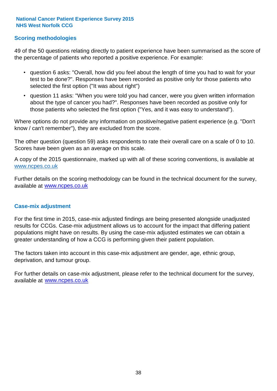#### **Scoring methodologies**

49 of the 50 questions relating directly to patient experience have been summarised as the score of the percentage of patients who reported a positive experience. For example:

- question 6 asks: "Overall, how did you feel about the length of time you had to wait for your test to be done?". Responses have been recorded as positive only for those patients who selected the first option ("It was about right")
- question 11 asks: "When you were told you had cancer, were you given written information about the type of cancer you had?". Responses have been recorded as positive only for those patients who selected the first option ("Yes, and it was easy to understand").

Where options do not provide any information on positive/negative patient experience (e.g. "Don't know / can't remember"), they are excluded from the score.

The other question (question 59) asks respondents to rate their overall care on a scale of 0 to 10. Scores have been given as an average on this scale.

A copy of the 2015 questionnaire, marked up with all of these scoring conventions, is available at www.ncpes.co.uk

Further details on the scoring methodology can be found in the technical document for the survey, available at <u>www.ncpes.co.uk</u>

#### **Case-mix adjustment**

For the first time in 2015, case-mix adjusted findings are being presented alongside unadjusted results for CCGs. Case-mix adjustment allows us to account for the impact that differing patient populations might have on results. By using the case-mix adjusted estimates we can obtain a greater understanding of how a CCG is performing given their patient population.

The factors taken into account in this case-mix adjustment are gender, age, ethnic group, deprivation, and tumour group.

For further details on case-mix adjustment, please refer to the technical document for the survey, available at www.ncpes.co.uk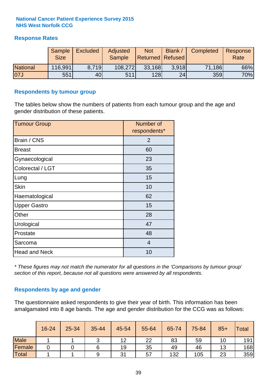#### **Response Rates**

|                 | Sample<br><b>Size</b> | <b>Excluded</b> | Adjusted<br><b>Sample</b> | <b>Not</b><br>Returned   Refused | Blank | Completed | Response<br>Rate |
|-----------------|-----------------------|-----------------|---------------------------|----------------------------------|-------|-----------|------------------|
| <b>National</b> | 116,991               | 8.719           | 108,272                   | 33,168                           | 3.918 | 71,186    | 66%              |
| 07J             | 551                   | 40              | 511                       | 128                              | 24    | 359       | 70%              |

#### **Respondents by tumour group**

The tables below show the numbers of patients from each tumour group and the age and gender distribution of these patients.

| <b>Tumour Group</b>  | Number of<br>respondents* |
|----------------------|---------------------------|
| Brain / CNS          | $\overline{2}$            |
| <b>Breast</b>        | 60                        |
| Gynaecological       | 23                        |
| Colorectal / LGT     | 35                        |
| Lung                 | 15                        |
| <b>Skin</b>          | 10                        |
| Haematological       | 62                        |
| <b>Upper Gastro</b>  | 15                        |
| Other                | 28                        |
| Urological           | 47                        |
| Prostate             | 48                        |
| Sarcoma              | $\overline{4}$            |
| <b>Head and Neck</b> | 10                        |

*\* These figures may not match the numerator for all questions in the 'Comparisons by tumour group' section of this report, because not all questions were answered by all respondents.*

#### **Respondents by age and gender**

The questionnaire asked respondents to give their year of birth. This information has been amalgamated into 8 age bands. The age and gender distribution for the CCG was as follows:

|             | 16-24 | $25 - 34$ | 35-44 | 45-54 | 55-64 | 65-74 | 75-84 | $85+$ | Total |
|-------------|-------|-----------|-------|-------|-------|-------|-------|-------|-------|
| <b>Male</b> |       |           |       | 12    | 22    | 83    | 59    |       | 191   |
| Female      |       |           |       | 19    | 35    | 49    | 46    | 13    | 168   |
| Total       |       |           | 9     | 31    | 57    | 132   | 105   | 23    | 359   |